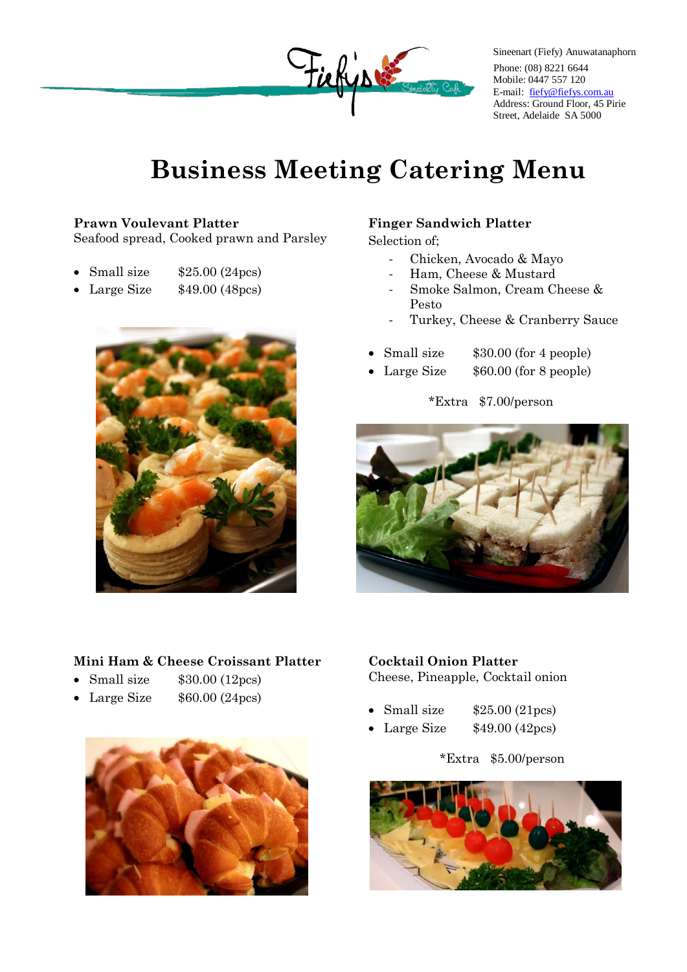

Sineenart (Fiefy) Anuwatanaphorn Phone: (08) 8221 6644 Mobile: 0447 557 120 E-mail: [fiefy@fiefys.com.au](mailto:fiefy@fiefys.com.au) Address: Ground Floor, 45 Pirie Street, Adelaide SA 5000

# **Business Meeting Catering Menu**

### **Prawn Voulevant Platter**

Seafood spread, Cooked prawn and Parsley

- Small size  $$25.00 (24)$
- Large Size \$49.00 (48pcs)



### **Finger Sandwich Platter**

Selection of;

- Chicken, Avocado & Mayo
- Ham, Cheese & Mustard
- Smoke Salmon, Cream Cheese & Pesto
- Turkey, Cheese & Cranberry Sauce
- Small size  $$30.00$  (for 4 people)
- Large Size  $$60.00$  (for 8 people)

\*Extra \$7.00/person



### **Mini Ham & Cheese Croissant Platter**

- Small size  $$30.00 (12)$ es)
- Large Size  $$60.00 (24)$ es)



### **Cocktail Onion Platter** Cheese, Pineapple, Cocktail onion

- Small size  $$25.00 (21)$ es)
- Large Size  $$49.00 (42)$

### \*Extra \$5.00/person

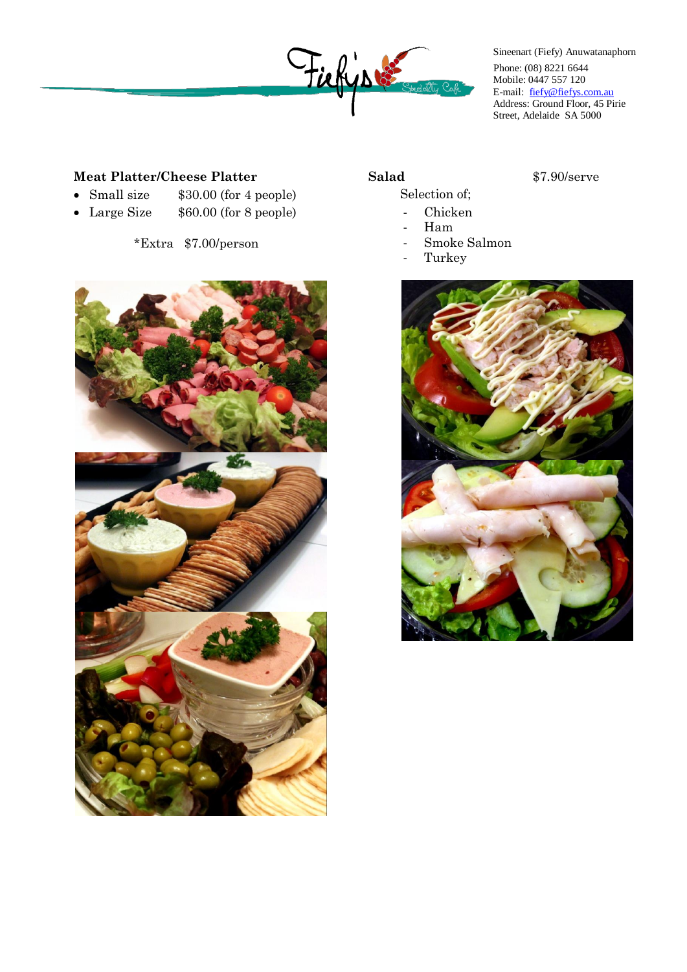

Sineenart (Fiefy) Anuwatanaphorn Phone: (08) 8221 6644 Mobile: 0447 557 120 E-mail: [fiefy@fiefys.com.au](mailto:fiefy@fiefys.com.au) Address: Ground Floor, 45 Pirie Street, Adelaide SA 5000

### **Meat Platter/Cheese Platter**

- Small size  $$30.00$  (for 4 people)
- Large Size  $$60.00$  (for 8 people)

\*Extra \$7.00/person



- Selection of;
	- Chicken
	- Ham
	- Smoke Salmon
	- **Turkey**



**Salad** \$7.90/serve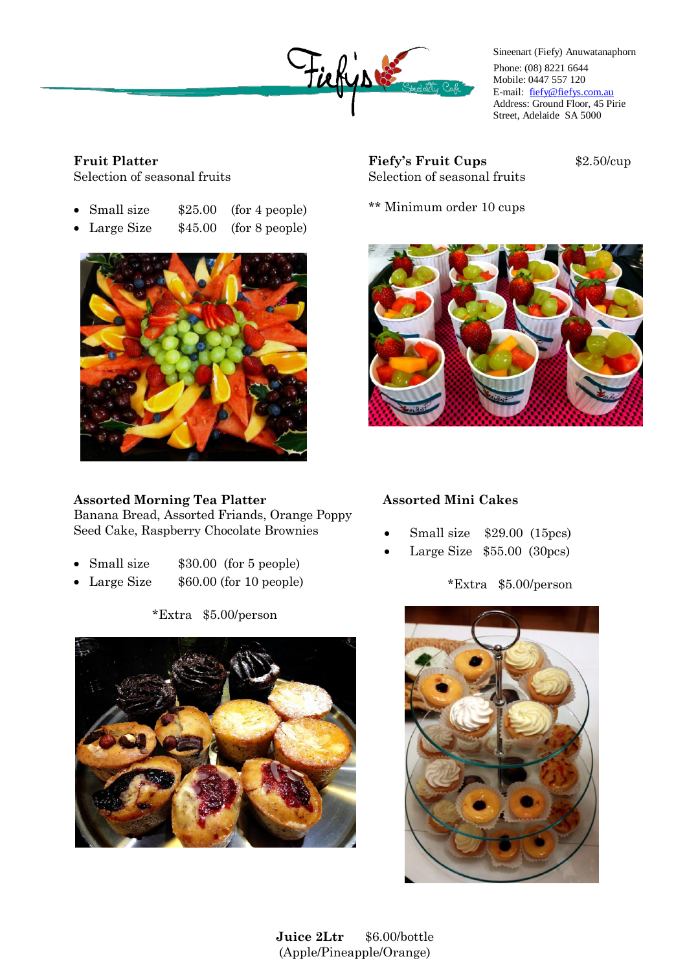

Sineenart (Fiefy) Anuwatanaphorn Phone: (08) 8221 6644 Mobile: 0447 557 120 E-mail: [fiefy@fiefys.com.au](mailto:fiefy@fiefys.com.au) Address: Ground Floor, 45 Pirie Street, Adelaide SA 5000

## **Fruit Platter**

Selection of seasonal fruits

|  | $\bullet$ Small size |  | $$25.00$ (for 4 people) |
|--|----------------------|--|-------------------------|
|--|----------------------|--|-------------------------|

• Large Size  $$45.00$  (for 8 people)



### **Assorted Morning Tea Platter**

Banana Bread, Assorted Friands, Orange Poppy Seed Cake, Raspberry Chocolate Brownies

- Small size  $$30.00$  (for 5 people)
- Large Size  $$60.00$  (for 10 people)

\*Extra \$5.00/person



**Fiefy's Fruit Cups** \$2.50/cup Selection of seasonal fruits

\*\* Minimum order 10 cups



### **Assorted Mini Cakes**

- Small size \$29.00 (15pcs)
- Large Size \$55.00 (30pcs)

### \*Extra \$5.00/person



**Juice 2Ltr** \$6.00/bottle (Apple/Pineapple/Orange)